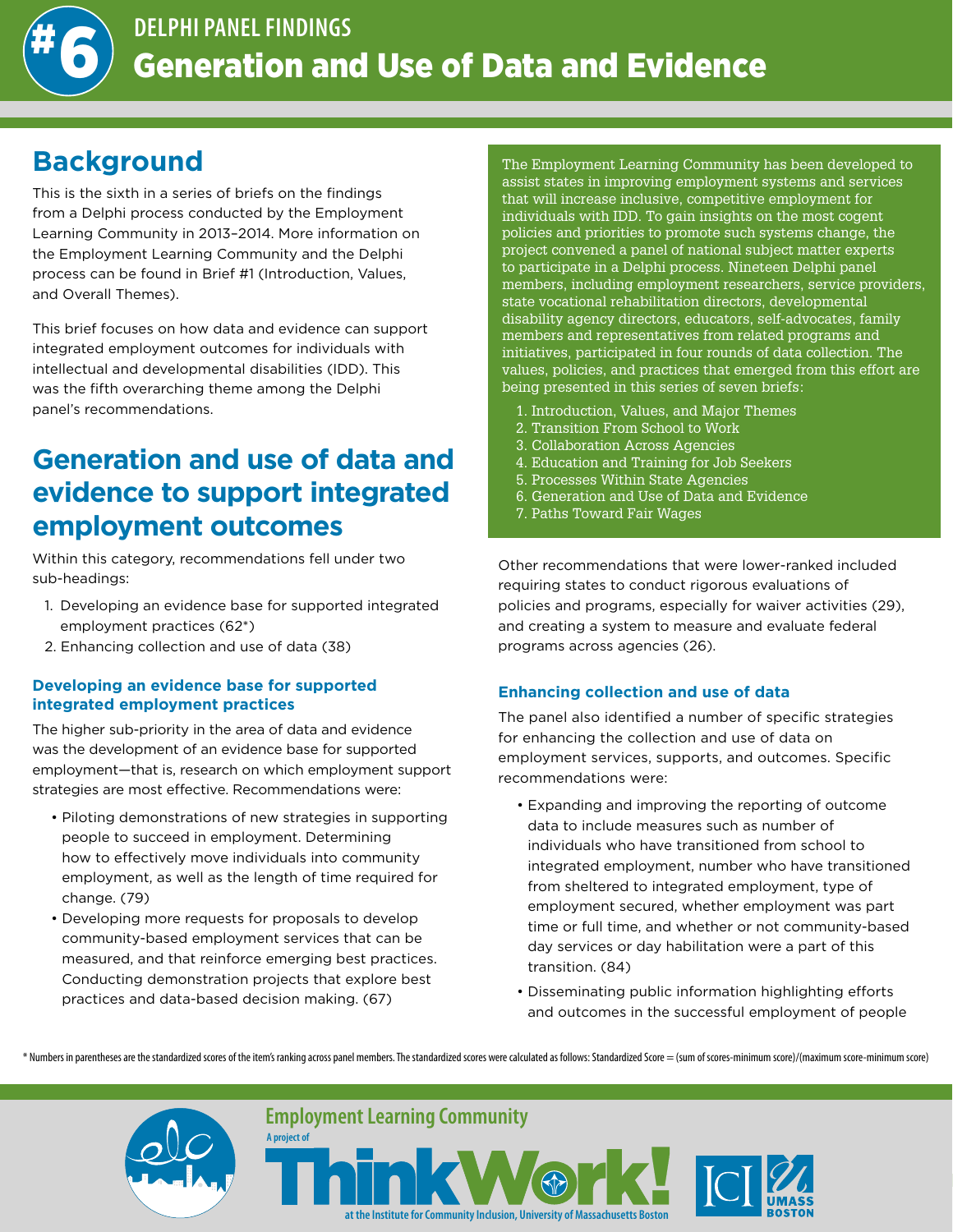

## **Background**

This is the sixth in a series of briefs on the findings from a Delphi process conducted by the Employment Learning Community in 2013–2014. More information on the Employment Learning Community and the Delphi process can be found in Brief #1 (Introduction, Values, and Overall Themes).

This brief focuses on how data and evidence can support integrated employment outcomes for individuals with intellectual and developmental disabilities (IDD). This was the fifth overarching theme among the Delphi panel's recommendations.

# **Generation and use of data and evidence to support integrated employment outcomes**

Within this category, recommendations fell under two sub-headings:

- 1. Developing an evidence base for supported integrated employment practices (62\*)
- 2. Enhancing collection and use of data (38)

#### **Developing an evidence base for supported integrated employment practices**

The higher sub-priority in the area of data and evidence was the development of an evidence base for supported employment—that is, research on which employment support strategies are most effective. Recommendations were:

- Piloting demonstrations of new strategies in supporting people to succeed in employment. Determining how to effectively move individuals into community employment, as well as the length of time required for change. (79)
- Developing more requests for proposals to develop community-based employment services that can be measured, and that reinforce emerging best practices. Conducting demonstration projects that explore best practices and data-based decision making. (67)

**A project of**

The Employment Learning Community has been developed to assist states in improving employment systems and services that will increase inclusive, competitive employment for individuals with IDD. To gain insights on the most cogent policies and priorities to promote such systems change, the project convened a panel of national subject matter experts to participate in a Delphi process. Nineteen Delphi panel members, including employment researchers, service providers, state vocational rehabilitation directors, developmental disability agency directors, educators, self-advocates, family members and representatives from related programs and initiatives, participated in four rounds of data collection. The values, policies, and practices that emerged from this effort are being presented in this series of seven briefs:

- 1. Introduction, Values, and Major Themes
- 2. Transition From School to Work
- 3. Collaboration Across Agencies
- 4. Education and Training for Job Seekers
- 5. Processes Within State Agencies
- 6. Generation and Use of Data and Evidence
- 7. Paths Toward Fair Wages

Other recommendations that were lower-ranked included requiring states to conduct rigorous evaluations of policies and programs, especially for waiver activities (29), and creating a system to measure and evaluate federal programs across agencies (26).

### **Enhancing collection and use of data**

The panel also identified a number of specific strategies for enhancing the collection and use of data on employment services, supports, and outcomes. Specific recommendations were:

- Expanding and improving the reporting of outcome data to include measures such as number of individuals who have transitioned from school to integrated employment, number who have transitioned from sheltered to integrated employment, type of employment secured, whether employment was part time or full time, and whether or not community-based day services or day habilitation were a part of this transition. (84)
- Disseminating public information highlighting efforts and outcomes in the successful employment of people

\* Numbers in parentheses are the standardized scores of the item's ranking across panel members. The standardized scores were calculated as follows: Standardized Score = (sum of scores-minimum score)/(maximum score-minimum



**Employment Learning Community**